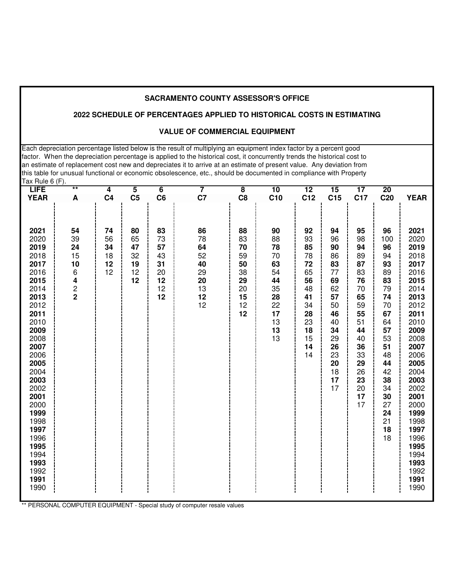# **2022 SCHEDULE OF PERCENTAGES APPLIED TO HISTORICAL COSTS IN ESTIMATING**

#### **VALUE OF COMMERCIAL EQUIPMENT**

Each depreciation percentage listed below is the result of multiplying an equipment index factor by a percent good factor. When the depreciation percentage is applied to the historical cost, it concurrently trends the historical cost to an estimate of replacement cost new and depreciates it to arrive at an estimate of present value. Any deviation from this table for unusual functional or economic obsolescence, etc., should be documented in compliance with Property Tax Rule 6 (F).

| <b>LIFE</b>  | $\overline{\phantom{0}}$ | 4              | $\overline{\mathbf{5}}$ | $\overline{6}$ | 7  | $\overline{\mathbf{8}}$ | $\overline{10}$ | 12       | $\overline{15}$ | 17       | $\overline{20}$ |              |
|--------------|--------------------------|----------------|-------------------------|----------------|----|-------------------------|-----------------|----------|-----------------|----------|-----------------|--------------|
| <b>YEAR</b>  | $\pmb{\mathsf{A}}$       | C <sub>4</sub> | C <sub>5</sub>          | C6             | C7 | C <sub>8</sub>          | C <sub>10</sub> | C12      | C <sub>15</sub> | C17      | C <sub>20</sub> | <b>YEAR</b>  |
|              |                          |                |                         |                |    |                         |                 |          |                 |          |                 |              |
|              |                          |                |                         |                |    |                         |                 |          |                 |          |                 |              |
| 2021         | 54                       | 74             | 80                      | 83             | 86 | 88                      | 90              | 92       | 94              | 95       | 96              | 2021         |
| 2020         | 39                       | 56             | 65                      | 73             | 78 | 83                      | 88              | 93       | 96              | 98       | 100             | 2020         |
| 2019         | 24                       | 34             | 47                      | 57             | 64 | 70                      | 78              | 85       | 90              | 94       | 96              | 2019         |
| 2018         | 15                       | 18             | 32                      | 43             | 52 | 59                      | 70              | 78       | 86              | 89       | 94              | 2018         |
| 2017         | 10                       | 12             | 19                      | 31             | 40 | 50                      | 63              | 72       | 83              | 87       | 93              | 2017         |
| 2016         | 6                        | 12             | 12                      | 20             | 29 | 38                      | 54              | 65       | 77              | 83       | 89              | 2016         |
| 2015         | 4                        |                | 12                      | 12             | 20 | 29                      | 44              | 56       | 69              | 76       | 83              | 2015         |
| 2014         | $\frac{2}{2}$            |                |                         | 12             | 13 | 20                      | 35              | 48       | 62              | 70       | 79              | 2014         |
| 2013         |                          |                |                         | 12             | 12 | 15                      | 28              | 41       | 57              | 65       | 74              | 2013         |
| 2012         |                          |                |                         |                | 12 | 12                      | 22              | 34       | 50              | 59       | 70              | 2012         |
| 2011         |                          |                |                         |                |    | 12                      | 17              | 28       | 46              | 55       | 67              | 2011         |
| 2010         |                          |                |                         |                |    |                         | 13              | 23       | 40              | 51       | 64              | 2010         |
| 2009<br>2008 |                          |                |                         |                |    |                         | 13<br>13        | 18<br>15 | 34<br>29        | 44<br>40 | 57<br>53        | 2009<br>2008 |
| 2007         |                          |                |                         |                |    |                         |                 | 14       | 26              | 36       | 51              | 2007         |
| 2006         |                          |                |                         |                |    |                         |                 | 14       | 23              | 33       | 48              | 2006         |
| 2005         |                          |                |                         |                |    |                         |                 |          | 20              | 29       | 44              | 2005         |
| 2004         |                          |                |                         |                |    |                         |                 |          | 18              | 26       | 42              | 2004         |
| 2003         |                          |                |                         |                |    |                         |                 |          | 17              | 23       | 38              | 2003         |
| 2002         |                          |                |                         |                |    |                         |                 |          | 17              | 20       | 34              | 2002         |
| 2001         |                          |                |                         |                |    |                         |                 |          |                 | 17       | 30              | 2001         |
| 2000         |                          |                |                         |                |    |                         |                 |          |                 | 17       | 27              | 2000         |
| 1999         |                          |                |                         |                |    |                         |                 |          |                 |          | 24              | 1999         |
| 1998         |                          |                |                         |                |    |                         |                 |          |                 |          | 21              | 1998         |
| 1997         |                          |                |                         |                |    |                         |                 |          |                 |          | 18              | 1997         |
| 1996<br>1995 |                          |                |                         |                |    |                         |                 |          |                 |          | 18              | 1996<br>1995 |
| 1994         |                          |                |                         |                |    |                         |                 |          |                 |          |                 | 1994         |
| 1993         |                          |                |                         |                |    |                         |                 |          |                 |          |                 | 1993         |
| 1992         |                          |                |                         |                |    |                         |                 |          |                 |          |                 | 1992         |
| 1991         |                          |                |                         |                |    |                         |                 |          |                 |          |                 | 1991         |
| 1990         |                          |                |                         |                |    |                         |                 |          |                 |          |                 | 1990         |
|              |                          |                |                         |                |    |                         |                 |          |                 |          |                 |              |

\*\* PERSONAL COMPUTER EQUIPMENT - Special study of computer resale values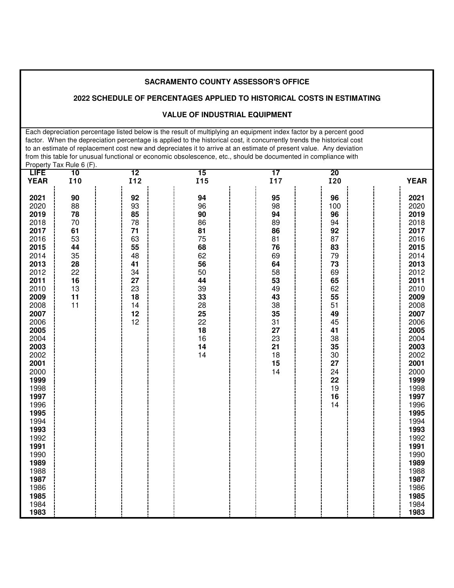# **2022 SCHEDULE OF PERCENTAGES APPLIED TO HISTORICAL COSTS IN ESTIMATING**

#### **VALUE OF INDUSTRIAL EQUIPMENT**

 Each depreciation percentage listed below is the result of multiplying an equipment index factor by a percent good factor. When the depreciation percentage is applied to the historical cost, it concurrently trends the historical cost to an estimate of replacement cost new and depreciates it to arrive at an estimate of present value. Any deviation from this table for unusual functional or economic obsolescence, etc., should be documented in compliance with Property Tax Rule 6 (F).

| <b>LIFE</b>                                                                                                                                                                                                                                                                                                          | 10                                                                               | $\overline{12}$                                                                              | 15                                                                                                                   | $\overline{17}$                                                                                                                  | 20                                                                                                                                                        | <b>YEAR</b>                                                                                                                                                                                                                                                                                                          |
|----------------------------------------------------------------------------------------------------------------------------------------------------------------------------------------------------------------------------------------------------------------------------------------------------------------------|----------------------------------------------------------------------------------|----------------------------------------------------------------------------------------------|----------------------------------------------------------------------------------------------------------------------|----------------------------------------------------------------------------------------------------------------------------------|-----------------------------------------------------------------------------------------------------------------------------------------------------------|----------------------------------------------------------------------------------------------------------------------------------------------------------------------------------------------------------------------------------------------------------------------------------------------------------------------|
| <b>YEAR</b>                                                                                                                                                                                                                                                                                                          | I10                                                                              | I12                                                                                          | <b>I15</b>                                                                                                           | <b>I17</b>                                                                                                                       | <b>I20</b>                                                                                                                                                |                                                                                                                                                                                                                                                                                                                      |
| 2021<br>2020<br>2019<br>2018<br>2017<br>2016<br>2015<br>2014<br>2013<br>2012<br>2011<br>2010<br>2009<br>2008<br>2007<br>2006<br>2005<br>2004<br>2003<br>2002<br>2001<br>2000<br>1999<br>1998<br>1997<br>1996<br>1995<br>1994<br>1993<br>1992<br>1991<br>1990<br>1989<br>1988<br>1987<br>1986<br>1985<br>1984<br>1983 | 90<br>88<br>78<br>70<br>61<br>53<br>44<br>35<br>28<br>22<br>16<br>13<br>11<br>11 | 92<br>93<br>85<br>78<br>71<br>63<br>55<br>48<br>41<br>34<br>27<br>23<br>18<br>14<br>12<br>12 | 94<br>96<br>90<br>86<br>81<br>75<br>68<br>62<br>56<br>50<br>44<br>39<br>33<br>28<br>25<br>22<br>18<br>16<br>14<br>14 | 95<br>98<br>94<br>89<br>86<br>81<br>76<br>69<br>64<br>58<br>53<br>49<br>43<br>38<br>35<br>31<br>27<br>23<br>21<br>18<br>15<br>14 | 96<br>100<br>96<br>94<br>92<br>87<br>83<br>79<br>73<br>69<br>65<br>62<br>55<br>51<br>49<br>45<br>41<br>38<br>35<br>30<br>27<br>24<br>22<br>19<br>16<br>14 | 2021<br>2020<br>2019<br>2018<br>2017<br>2016<br>2015<br>2014<br>2013<br>2012<br>2011<br>2010<br>2009<br>2008<br>2007<br>2006<br>2005<br>2004<br>2003<br>2002<br>2001<br>2000<br>1999<br>1998<br>1997<br>1996<br>1995<br>1994<br>1993<br>1992<br>1991<br>1990<br>1989<br>1988<br>1987<br>1986<br>1985<br>1984<br>1983 |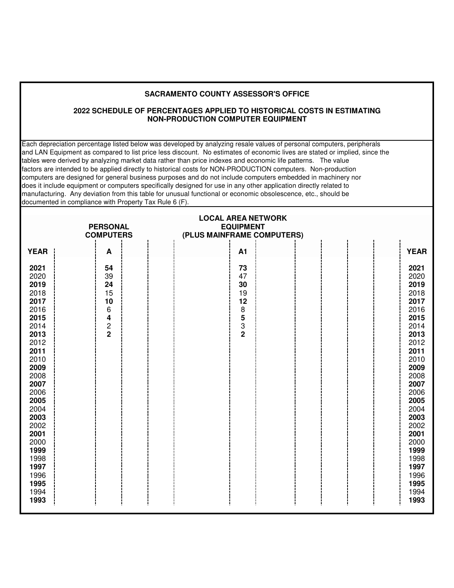#### **2022 SCHEDULE OF PERCENTAGES APPLIED TO HISTORICAL COSTS IN ESTIMATING NON-PRODUCTION COMPUTER EQUIPMENT**

Each depreciation percentage listed below was developed by analyzing resale values of personal computers, peripherals and LAN Equipment as compared to list price less discount. No estimates of economic lives are stated or implied, since the tables were derived by analyzing market data rather than price indexes and economic life patterns. The value factors are intended to be applied directly to historical costs for NON-PRODUCTION computers. Non-production computers are designed for general business purposes and do not include computers embedded in machinery nor does it include equipment or computers specifically designed for use in any other application directly related to manufacturing. Any deviation from this table for unusual functional or economic obsolescence, etc., should be documented in compliance with Property Tax Rule 6 (F).

| <b>YEAR</b><br>A1<br><b>YEAR</b><br>Α<br>2021<br>54<br>73<br>2021<br>39<br>2020<br>47<br>2020<br>24<br>2019<br>2019<br>30<br>15<br>2018<br>19<br>2018<br>10<br>2017<br>12<br>2017<br>6<br>$\begin{array}{c} 8 \\ 5 \\ 3 \\ 2 \end{array}$<br>2016<br>2016<br>2015<br>4<br>2015<br>$\frac{2}{2}$<br>2014<br>2014<br>2013<br>2013<br>2012<br>2012<br>2011<br>2011<br>2010<br>2010<br>2009<br>2009<br>2008<br>2008<br>2007<br>2007<br>2006<br>2006<br>2005<br>2005<br>2004<br>2004<br>2003<br>2003<br>2002<br>2002<br>2001<br>2001<br>2000<br>2000<br>1999<br>1999<br>1998<br>1998<br>1997<br>1997<br>1996<br>1996<br>1995<br>1995<br>1994<br>1994<br>1993<br>1993 | <b>PERSONAL</b><br><b>COMPUTERS</b> | <b>LOCAL AREA NETWORK</b><br><b>EQUIPMENT</b><br>(PLUS MAINFRAME COMPUTERS) |  |
|-----------------------------------------------------------------------------------------------------------------------------------------------------------------------------------------------------------------------------------------------------------------------------------------------------------------------------------------------------------------------------------------------------------------------------------------------------------------------------------------------------------------------------------------------------------------------------------------------------------------------------------------------------------------|-------------------------------------|-----------------------------------------------------------------------------|--|
|                                                                                                                                                                                                                                                                                                                                                                                                                                                                                                                                                                                                                                                                 |                                     |                                                                             |  |
|                                                                                                                                                                                                                                                                                                                                                                                                                                                                                                                                                                                                                                                                 |                                     |                                                                             |  |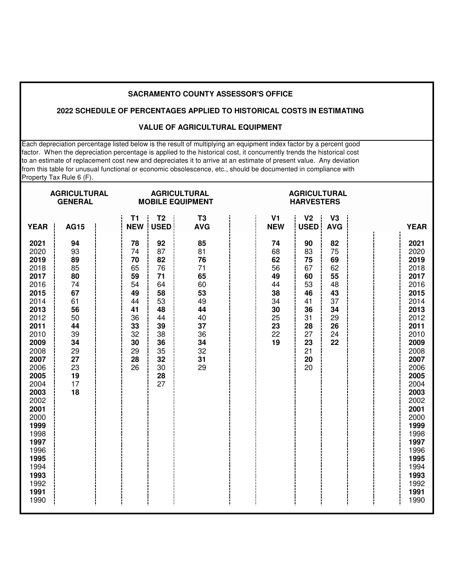#### **2022 SCHEDULE OF PERCENTAGES APPLIED TO HISTORICAL COSTS IN ESTIMATING**

#### **VALUE OF AGRICULTURAL EQUIPMENT**

Each depreciation percentage listed below is the result of multiplying an equipment index factor by a percent good factor. When the depreciation percentage is applied to the historical cost, it concurrently trends the historical cost to an estimate of replacement cost new and depreciates it to arrive at an estimate of present value. Any deviation from this table for unusual functional or economic obsolescence, etc., should be documented in compliance with Property Tax Rule 6 (F).

| <b>AGRICULTURAL</b><br><b>GENERAL</b>                                                                                                                                                                                                                        |                                                                                                                |                                                                                              |                                                                                                          | <b>AGRICULTURAL</b><br><b>MOBILE EQUIPMENT</b>                                               |                                                                            | <b>AGRICULTURAL</b><br><b>HARVESTERS</b>                                                     |                                                                            |                                                                                                                                                                                                                                                              |
|--------------------------------------------------------------------------------------------------------------------------------------------------------------------------------------------------------------------------------------------------------------|----------------------------------------------------------------------------------------------------------------|----------------------------------------------------------------------------------------------|----------------------------------------------------------------------------------------------------------|----------------------------------------------------------------------------------------------|----------------------------------------------------------------------------|----------------------------------------------------------------------------------------------|----------------------------------------------------------------------------|--------------------------------------------------------------------------------------------------------------------------------------------------------------------------------------------------------------------------------------------------------------|
| <b>YEAR</b>                                                                                                                                                                                                                                                  | <b>AG15</b>                                                                                                    | T1<br><b>NEW</b>                                                                             | T <sub>2</sub><br><b>USED</b>                                                                            | T <sub>3</sub><br><b>AVG</b>                                                                 | V <sub>1</sub><br><b>NEW</b>                                               | V <sub>2</sub><br><b>USED</b>                                                                | V3<br><b>AVG</b>                                                           | <b>YEAR</b>                                                                                                                                                                                                                                                  |
| 2021<br>2020<br>2019<br>2018<br>2017<br>2016<br>2015<br>2014<br>2013<br>2012<br>2011<br>2010<br>2009<br>2008<br>2007<br>2006<br>2005<br>2004<br>2003<br>2002<br>2001<br>2000<br>1999<br>1998<br>1997<br>1996<br>1995<br>1994<br>1993<br>1992<br>1991<br>1990 | 94<br>93<br>89<br>85<br>80<br>74<br>67<br>61<br>56<br>50<br>44<br>39<br>34<br>29<br>27<br>23<br>19<br>17<br>18 | 78<br>74<br>70<br>65<br>59<br>54<br>49<br>44<br>41<br>36<br>33<br>32<br>30<br>29<br>28<br>26 | 92<br>87<br>82<br>76<br>71<br>64<br>58<br>53<br>48<br>44<br>39<br>38<br>36<br>35<br>32<br>30<br>28<br>27 | 85<br>81<br>76<br>71<br>65<br>60<br>53<br>49<br>44<br>40<br>37<br>36<br>34<br>32<br>31<br>29 | 74<br>68<br>62<br>56<br>49<br>44<br>38<br>34<br>30<br>25<br>23<br>22<br>19 | 90<br>83<br>75<br>67<br>60<br>53<br>46<br>41<br>36<br>31<br>28<br>27<br>23<br>21<br>20<br>20 | 82<br>75<br>69<br>62<br>55<br>48<br>43<br>37<br>34<br>29<br>26<br>24<br>22 | 2021<br>2020<br>2019<br>2018<br>2017<br>2016<br>2015<br>2014<br>2013<br>2012<br>2011<br>2010<br>2009<br>2008<br>2007<br>2006<br>2005<br>2004<br>2003<br>2002<br>2001<br>2000<br>1999<br>1998<br>1997<br>1996<br>1995<br>1994<br>1993<br>1992<br>1991<br>1990 |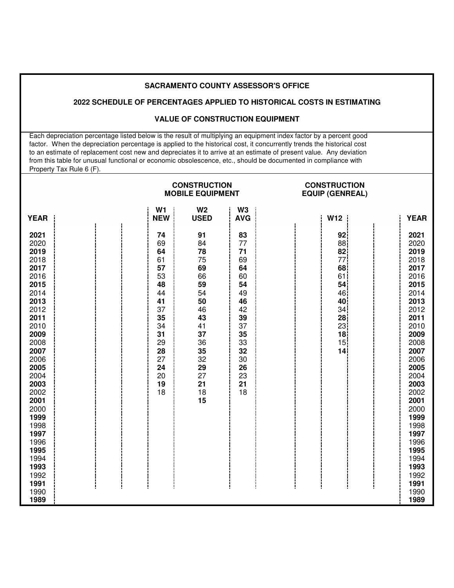### **2022 SCHEDULE OF PERCENTAGES APPLIED TO HISTORICAL COSTS IN ESTIMATING**

## **VALUE OF CONSTRUCTION EQUIPMENT**

 Each depreciation percentage listed below is the result of multiplying an equipment index factor by a percent good factor. When the depreciation percentage is applied to the historical cost, it concurrently trends the historical cost to an estimate of replacement cost new and depreciates it to arrive at an estimate of present value. Any deviation from this table for unusual functional or economic obsolescence, etc., should be documented in compliance with Property Tax Rule 6 (F).

|                                                                                                                                                                                                                                                              |                                                                                                                      | <b>CONSTRUCTION</b><br><b>MOBILE EQUIPMENT</b>                                                                             |                                                                                                                      | <b>CONSTRUCTION</b><br><b>EQUIP (GENREAL)</b>                                                                                 |                                                                                                                                                                                                                                                              |  |  |
|--------------------------------------------------------------------------------------------------------------------------------------------------------------------------------------------------------------------------------------------------------------|----------------------------------------------------------------------------------------------------------------------|----------------------------------------------------------------------------------------------------------------------------|----------------------------------------------------------------------------------------------------------------------|-------------------------------------------------------------------------------------------------------------------------------|--------------------------------------------------------------------------------------------------------------------------------------------------------------------------------------------------------------------------------------------------------------|--|--|
| <b>YEAR</b>                                                                                                                                                                                                                                                  | W <sub>1</sub><br><b>NEW</b>                                                                                         | W <sub>2</sub><br><b>USED</b>                                                                                              | W <sub>3</sub><br><b>AVG</b>                                                                                         | W12                                                                                                                           | <b>YEAR</b>                                                                                                                                                                                                                                                  |  |  |
| 2021<br>2020<br>2019<br>2018<br>2017<br>2016<br>2015<br>2014<br>2013<br>2012<br>2011<br>2010<br>2009<br>2008<br>2007<br>2006<br>2005<br>2004<br>2003<br>2002<br>2001<br>2000<br>1999<br>1998<br>1997<br>1996<br>1995<br>1994<br>1993<br>1992<br>1991<br>1990 | 74<br>69<br>64<br>61<br>57<br>53<br>48<br>44<br>41<br>37<br>35<br>34<br>31<br>29<br>28<br>27<br>24<br>20<br>19<br>18 | 91<br>84<br>78<br>75<br>69<br>66<br>59<br>54<br>50<br>46<br>43<br>41<br>37<br>36<br>35<br>32<br>29<br>27<br>21<br>18<br>15 | 83<br>77<br>71<br>69<br>64<br>60<br>54<br>49<br>46<br>42<br>39<br>37<br>35<br>33<br>32<br>30<br>26<br>23<br>21<br>18 | 92<br>88<br>82<br>77 <sup>1</sup><br>68<br>61<br>54<br>46<br>40<br>34<br>28<br>23<br>18<br>15 <sub>1</sub><br>14 <sup>1</sup> | 2021<br>2020<br>2019<br>2018<br>2017<br>2016<br>2015<br>2014<br>2013<br>2012<br>2011<br>2010<br>2009<br>2008<br>2007<br>2006<br>2005<br>2004<br>2003<br>2002<br>2001<br>2000<br>1999<br>1998<br>1997<br>1996<br>1995<br>1994<br>1993<br>1992<br>1991<br>1990 |  |  |
| 1989                                                                                                                                                                                                                                                         |                                                                                                                      |                                                                                                                            |                                                                                                                      |                                                                                                                               | 1989                                                                                                                                                                                                                                                         |  |  |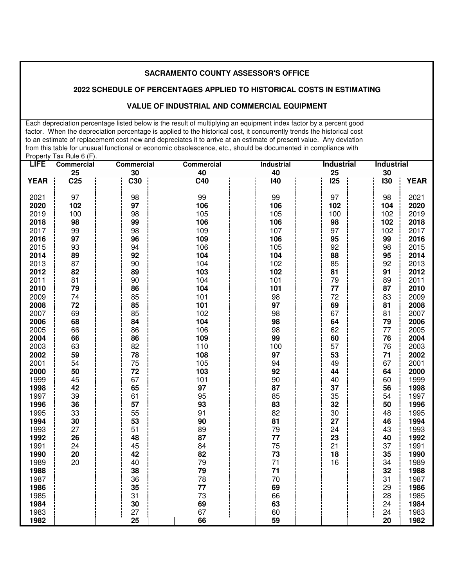#### **2022 SCHEDULE OF PERCENTAGES APPLIED TO HISTORICAL COSTS IN ESTIMATING**

#### **VALUE OF INDUSTRIAL AND COMMERCIAL EQUIPMENT**

 Each depreciation percentage listed below is the result of multiplying an equipment index factor by a percent good factor. When the depreciation percentage is applied to the historical cost, it concurrently trends the historical cost to an estimate of replacement cost new and depreciates it to arrive at an estimate of present value. Any deviation from this table for unusual functional or economic obsolescence, etc., should be documented in compliance with Property Tax Rule 6 (F).

| <b>LIFE</b> | <b>Commercial</b> | <b>Commercial</b> | <b>Commercial</b> | <b>Industrial</b> | <b>Industrial</b> | <b>Industrial</b> |             |
|-------------|-------------------|-------------------|-------------------|-------------------|-------------------|-------------------|-------------|
|             | 25                | 30                | 40                | 40                | 25                | 30                |             |
| <b>YEAR</b> | C <sub>25</sub>   | C30               | C40               | 140               | <b>125</b>        | 130               | <b>YEAR</b> |
|             |                   |                   |                   |                   |                   |                   |             |
| 2021        | 97                | 98                | 99                | 99                | 97                | 98                | 2021        |
| 2020        | 102               | 97                | 106               | 106               | 102               | 104               | 2020        |
| 2019        | 100               | 98                | 105               | 105               | 100               | 102               | 2019        |
| 2018        | 98                | 99                | 106               | 106               | 98                | 102               | 2018        |
| 2017        | 99                | 98                | 109               | 107               | 97                | 102               | 2017        |
| 2016        | 97                | 96                | 109               | 106               | 95                | 99                | 2016        |
| 2015        | 93                | 94                | 106               | 105               | 92                | 98                | 2015        |
| 2014        | 89                | 92                | 104               | 104               | 88                | 95                | 2014        |
| 2013        | 87                | 90                | 104               | 102               | 85                | 92                | 2013        |
| 2012        | 82                | 89                | 103               | 102               | 81                | 91                | 2012        |
| 2011        | 81                | 90                | 104               | 101               | 79                | 89                | 2011        |
| 2010        | 79                | 86                | 104               | 101               | 77                | 87                | 2010        |
| 2009        | 74                | 85                | 101               | 98                | 72                | 83                | 2009        |
| 2008        | 72                | 85                | 101               | 97                | 69                | 81                | 2008        |
| 2007        | 69                | 85                | 102               | 98                | 67                | 81                | 2007        |
| 2006        | 68                | 84                | 104               | 98                | 64                | 79                | 2006        |
| 2005        | 66                | 86                | 106               | 98                | 62                | 77                | 2005        |
| 2004        | 66                | 86                | 109               | 99                | 60                | 76                | 2004        |
| 2003        | 63                | 82                | 110               | 100               | 57                | 76                | 2003        |
| 2002        | 59                | 78                | 108               | 97                | 53                | 71                | 2002        |
| 2001        | 54                | 75                | 105               | 94                | 49                | 67                | 2001        |
| 2000        | 50                | 72                | 103               | 92                | 44                | 64                | 2000        |
| 1999        | 45                | 67                | 101               | 90                | 40                | 60                | 1999        |
| 1998        | 42                | 65                | 97                | 87                | 37                | 56                | 1998        |
| 1997        | 39                | 61                | 95                | 85                | 35                | 54                | 1997        |
| 1996        | 36                | 57                | 93                | 83                | 32                | 50                | 1996        |
| 1995        | 33                | 55                | 91                | 82                | 30                | 48                | 1995        |
| 1994        | 30                | 53                | 90                | 81                | 27                | 46                | 1994        |
| 1993        | 27                | 51                | 89                | 79                | 24                | 43                | 1993        |
| 1992        | 26                | 48                | 87                | 77                | 23                | 40                | 1992        |
| 1991        | 24                | 45                | 84                | 75                | 21                | 37                | 1991        |
| 1990        | 20                | 42                | 82                | 73                | 18                | 35                | 1990        |
| 1989        | 20                | 40                | 79                | 71                | 16                | 34                | 1989        |
| 1988        |                   | 38                | 79                | 71                |                   | 32                | 1988        |
| 1987        |                   | 36                | 78                | 70                |                   | 31                | 1987        |
| 1986        |                   | 35                | 77                | 69                |                   | 29                | 1986        |
| 1985        |                   | 31                | 73                | 66                |                   | 28                | 1985        |
| 1984        |                   | 30                | 69                | 63                |                   | 24                | 1984        |
| 1983        |                   | 27                | 67                | 60                |                   | 24                | 1983        |
| 1982        |                   | 25                | 66                | 59                |                   | 20                | 1982        |
|             |                   |                   |                   |                   |                   |                   |             |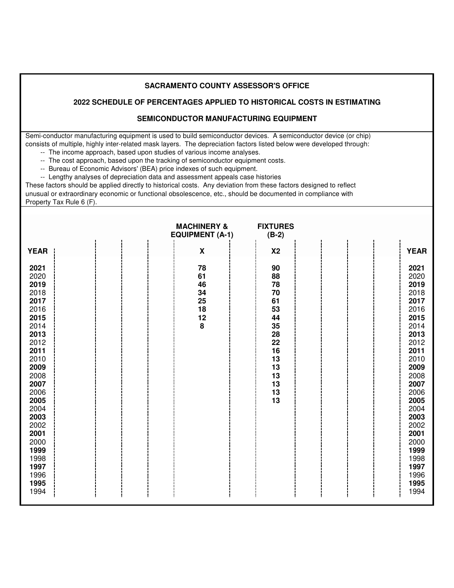#### **2022 SCHEDULE OF PERCENTAGES APPLIED TO HISTORICAL COSTS IN ESTIMATING**

### **SEMICONDUCTOR MANUFACTURING EQUIPMENT**

 Semi-conductor manufacturing equipment is used to build semiconductor devices. A semiconductor device (or chip) consists of multiple, highly inter-related mask layers. The depreciation factors listed below were developed through:

- -- The income approach, based upon studies of various income analyses.
- -- The cost approach, based upon the tracking of semiconductor equipment costs.
	- -- Bureau of Economic Advisors' (BEA) price indexes of such equipment.

-- Lengthy analyses of depreciation data and assessment appeals case histories

 These factors should be applied directly to historical costs. Any deviation from these factors designed to reflect unusual or extraordinary economic or functional obsolescence, etc., should be documented in compliance with

Property Tax Rule 6 (F).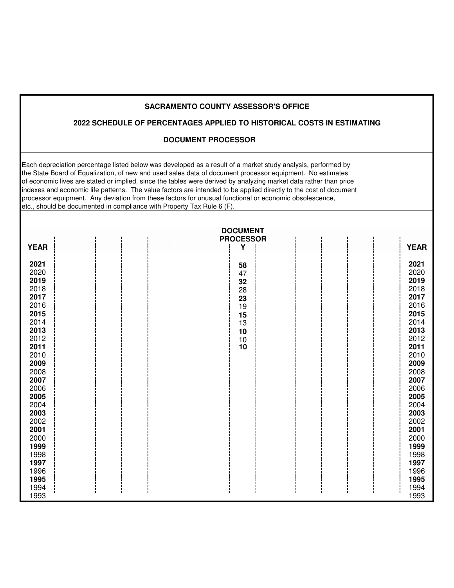# **2022 SCHEDULE OF PERCENTAGES APPLIED TO HISTORICAL COSTS IN ESTIMATING**

# **DOCUMENT PROCESSOR**

Each depreciation percentage listed below was developed as a result of a market study analysis, performed by the State Board of Equalization, of new and used sales data of document processor equipment. No estimates of economic lives are stated or implied, since the tables were derived by analyzing market data rather than price indexes and economic life patterns. The value factors are intended to be applied directly to the cost of document processor equipment. Any deviation from these factors for unusual functional or economic obsolescence, etc., should be documented in compliance with Property Tax Rule 6 (F).

|              | <b>DOCUMENT</b><br><b>PROCESSOR</b>     |              |
|--------------|-----------------------------------------|--------------|
| <b>YEAR</b>  | Υ                                       | <b>YEAR</b>  |
| 2021         | 58                                      | 2021         |
| 2020         | 47                                      | 2020         |
| 2019<br>2018 | 32                                      | 2019<br>2018 |
| 2017         | 28                                      | 2017         |
| 2016         | 23<br>19                                | 2016         |
| 2015         | 15                                      | 2015         |
| 2014         | 13                                      | 2014         |
| 2013         | 10                                      | 2013         |
| 2012         | $\begin{array}{c} 10 \\ 10 \end{array}$ | 2012         |
| 2011         |                                         | 2011         |
| 2010         |                                         | 2010         |
| 2009         |                                         | 2009         |
| 2008         |                                         | 2008         |
| 2007<br>2006 |                                         | 2007         |
| 2005         |                                         | 2006<br>2005 |
| 2004         |                                         | 2004         |
| 2003         |                                         | 2003         |
| 2002         |                                         | 2002         |
| 2001         |                                         | 2001         |
| 2000         |                                         | 2000         |
| 1999         |                                         | 1999         |
| 1998         |                                         | 1998         |
| 1997         |                                         | 1997         |
| 1996         |                                         | 1996         |
| 1995<br>1994 |                                         | 1995<br>1994 |
| 1993         |                                         | 1993         |
|              |                                         |              |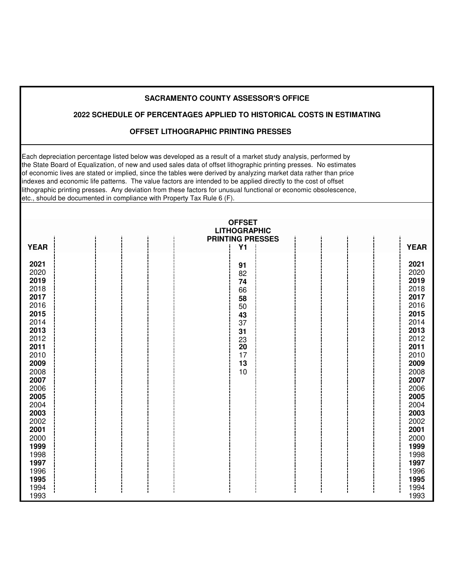# **2022 SCHEDULE OF PERCENTAGES APPLIED TO HISTORICAL COSTS IN ESTIMATING**

#### **OFFSET LITHOGRAPHIC PRINTING PRESSES**

Each depreciation percentage listed below was developed as a result of a market study analysis, performed by the State Board of Equalization, of new and used sales data of offset lithographic printing presses. No estimates of economic lives are stated or implied, since the tables were derived by analyzing market data rather than price indexes and economic life patterns. The value factors are intended to be applied directly to the cost of offset lithographic printing presses. Any deviation from these factors for unusual functional or economic obsolescence, etc., should be documented in compliance with Property Tax Rule 6 (F).

|                                                                                                                                                                                                                              |  | <b>OFFSET</b><br><b>LITHOGRAPHIC</b>                                             |                                                                                                                                                                                                                                                |
|------------------------------------------------------------------------------------------------------------------------------------------------------------------------------------------------------------------------------|--|----------------------------------------------------------------------------------|------------------------------------------------------------------------------------------------------------------------------------------------------------------------------------------------------------------------------------------------|
|                                                                                                                                                                                                                              |  | <b>PRINTING PRESSES</b>                                                          |                                                                                                                                                                                                                                                |
| <b>YEAR</b>                                                                                                                                                                                                                  |  | <b>Y1</b>                                                                        | <b>YEAR</b>                                                                                                                                                                                                                                    |
| 2021<br>2020<br>2019<br>2018<br>2017<br>2016<br>2015<br>2014<br>2013<br>2012<br>2011<br>2010<br>2009<br>2008<br>2007<br>2006<br>2005<br>2004<br>2003<br>2002<br>2001<br>2000<br>1999<br>1998<br>1997<br>1996<br>1995<br>1994 |  | 91<br>82<br>74<br>66<br>58<br>50<br>43<br>37<br>31<br>23<br>20<br>17<br>13<br>10 | 2021<br>2020<br>2019<br>2018<br>2017<br>2016<br>2015<br>2014<br>2013<br>2012<br>2011<br>2010<br>2009<br>2008<br>2007<br>2006<br>2005<br>2004<br>2003<br>2002<br>2001<br>2000<br>1999<br>1998<br>1997<br>1996<br>1995<br>1994<br>$\blacksquare$ |
| 1993                                                                                                                                                                                                                         |  |                                                                                  | 1993                                                                                                                                                                                                                                           |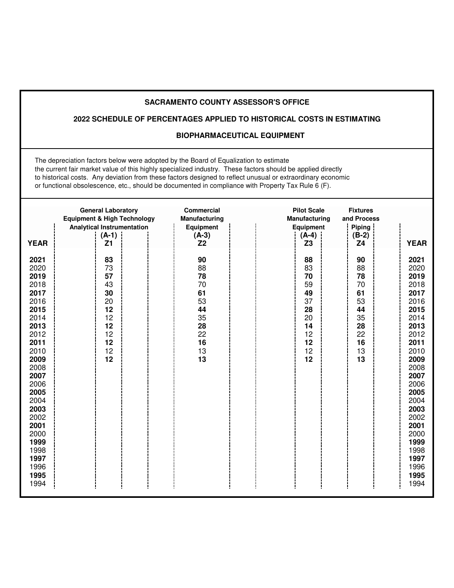# **2022 SCHEDULE OF PERCENTAGES APPLIED TO HISTORICAL COSTS IN ESTIMATING**

#### **BIOPHARMACEUTICAL EQUIPMENT**

 The depreciation factors below were adopted by the Board of Equalization to estimate the current fair market value of this highly specialized industry. These factors should be applied directly to historical costs. Any deviation from these factors designed to reflect unusual or extraordinary economic or functional obsolescence, etc., should be documented in compliance with Property Tax Rule 6 (F).

|                                                                                                                                                                                                                              | <b>General Laboratory</b><br><b>Equipment &amp; High Technology</b>        | <b>Commercial</b><br><b>Manufacturing</b>                                  | <b>Pilot Scale</b><br><b>Manufacturing</b>                                 | <b>Fixtures</b><br>and Process                                                 |                                                                                                                                                                                                                              |
|------------------------------------------------------------------------------------------------------------------------------------------------------------------------------------------------------------------------------|----------------------------------------------------------------------------|----------------------------------------------------------------------------|----------------------------------------------------------------------------|--------------------------------------------------------------------------------|------------------------------------------------------------------------------------------------------------------------------------------------------------------------------------------------------------------------------|
| <b>YEAR</b>                                                                                                                                                                                                                  | <b>Analytical Instrumentation</b><br>$(A-1)$<br>Z <sub>1</sub>             | <b>Equipment</b><br>$(A-3)$<br>Z <sub>2</sub>                              | <b>Equipment</b><br>$(A-4)$<br>Z <sub>3</sub>                              | Piping<br>$(B-2)$<br>Z4                                                        | <b>YEAR</b>                                                                                                                                                                                                                  |
| 2021<br>2020<br>2019<br>2018<br>2017<br>2016<br>2015<br>2014<br>2013<br>2012<br>2011<br>2010<br>2009<br>2008<br>2007<br>2006<br>2005<br>2004<br>2003<br>2002<br>2001<br>2000<br>1999<br>1998<br>1997<br>1996<br>1995<br>1994 | 83<br>73<br>57<br>43<br>30<br>20<br>12<br>12<br>12<br>12<br>12<br>12<br>12 | 90<br>88<br>78<br>70<br>61<br>53<br>44<br>35<br>28<br>22<br>16<br>13<br>13 | 88<br>83<br>70<br>59<br>49<br>37<br>28<br>20<br>14<br>12<br>12<br>12<br>12 | 90<br>88<br>78<br>$70\,$<br>61<br>53<br>44<br>35<br>28<br>22<br>16<br>13<br>13 | 2021<br>2020<br>2019<br>2018<br>2017<br>2016<br>2015<br>2014<br>2013<br>2012<br>2011<br>2010<br>2009<br>2008<br>2007<br>2006<br>2005<br>2004<br>2003<br>2002<br>2001<br>2000<br>1999<br>1998<br>1997<br>1996<br>1995<br>1994 |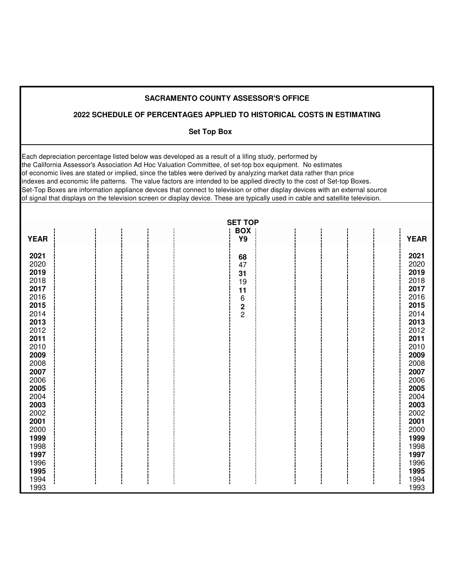|                                                                                                                                                                                                                                      |  | <b>SACRAMENTO COUNTY ASSESSOR'S OFFICE</b>                                                                                                                                                                                                                                                                                                                                                                                                                                                                                                                                                                                                                                                                                        |                                                                                                                                                                                                                                      |
|--------------------------------------------------------------------------------------------------------------------------------------------------------------------------------------------------------------------------------------|--|-----------------------------------------------------------------------------------------------------------------------------------------------------------------------------------------------------------------------------------------------------------------------------------------------------------------------------------------------------------------------------------------------------------------------------------------------------------------------------------------------------------------------------------------------------------------------------------------------------------------------------------------------------------------------------------------------------------------------------------|--------------------------------------------------------------------------------------------------------------------------------------------------------------------------------------------------------------------------------------|
|                                                                                                                                                                                                                                      |  | 2022 SCHEDULE OF PERCENTAGES APPLIED TO HISTORICAL COSTS IN ESTIMATING                                                                                                                                                                                                                                                                                                                                                                                                                                                                                                                                                                                                                                                            |                                                                                                                                                                                                                                      |
|                                                                                                                                                                                                                                      |  | <b>Set Top Box</b>                                                                                                                                                                                                                                                                                                                                                                                                                                                                                                                                                                                                                                                                                                                |                                                                                                                                                                                                                                      |
|                                                                                                                                                                                                                                      |  | Each depreciation percentage listed below was developed as a result of a lifing study, performed by<br>the California Assessor's Association Ad Hoc Valuation Committee, of set-top box equipment. No estimates<br>of economic lives are stated or implied, since the tables were derived by analyzing market data rather than price<br>indexes and economic life patterns. The value factors are intended to be applied directly to the cost of Set-top Boxes.<br>Set-Top Boxes are information appliance devices that connect to television or other display devices with an external source<br>of signal that displays on the television screen or display device. These are typically used in cable and satellite television. |                                                                                                                                                                                                                                      |
|                                                                                                                                                                                                                                      |  | <b>SET TOP</b>                                                                                                                                                                                                                                                                                                                                                                                                                                                                                                                                                                                                                                                                                                                    |                                                                                                                                                                                                                                      |
| <b>YEAR</b>                                                                                                                                                                                                                          |  | <b>BOX</b><br>Y9                                                                                                                                                                                                                                                                                                                                                                                                                                                                                                                                                                                                                                                                                                                  | <b>YEAR</b>                                                                                                                                                                                                                          |
| 2021<br>2020<br>2019<br>2018<br>2017<br>2016<br>2015<br>2014<br>2013<br>2012<br>2011<br>2010<br>2009<br>2008<br>2007<br>2006<br>2005<br>2004<br>2003<br>2002<br>2001<br>2000<br>1999<br>1998<br>1997<br>1996<br>1995<br>1994<br>1993 |  | 68<br>47<br>31<br>19<br>11<br>6<br>$\frac{2}{2}$                                                                                                                                                                                                                                                                                                                                                                                                                                                                                                                                                                                                                                                                                  | 2021<br>2020<br>2019<br>2018<br>2017<br>2016<br>2015<br>2014<br>2013<br>2012<br>2011<br>2010<br>2009<br>2008<br>2007<br>2006<br>2005<br>2004<br>2003<br>2002<br>2001<br>2000<br>1999<br>1998<br>1997<br>1996<br>1995<br>1994<br>1993 |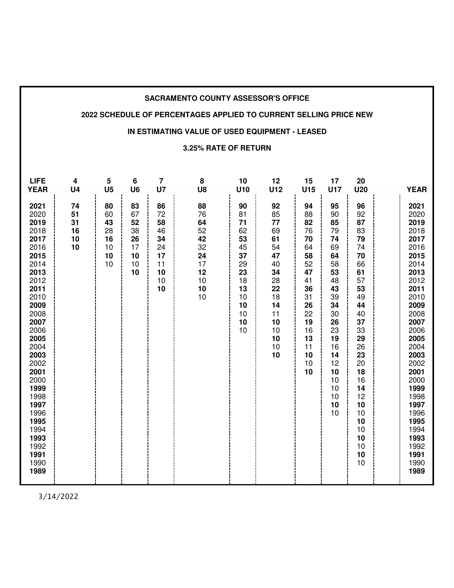#### **2022 SCHEDULE OF PERCENTAGES APPLIED TO CURRENT SELLING PRICE NEW**

#### **IN ESTIMATING VALUE OF USED EQUIPMENT - LEASED**

#### **3.25% RATE OF RETURN**

| <b>LIFE</b>                                                                                                                                                                                                                                                 | 4                                                  | 5                                                              | 6                                                                    | $\overline{\mathbf{r}}$                                              | 8                                                                          | 10                                                                                                  | 12                                                                                                                    | 15                                                                                                                                | 17                                                                                                                                                              | 20                                                                                                                                                                                             |                                                                                                                                                                                                                                                                     |
|-------------------------------------------------------------------------------------------------------------------------------------------------------------------------------------------------------------------------------------------------------------|----------------------------------------------------|----------------------------------------------------------------|----------------------------------------------------------------------|----------------------------------------------------------------------|----------------------------------------------------------------------------|-----------------------------------------------------------------------------------------------------|-----------------------------------------------------------------------------------------------------------------------|-----------------------------------------------------------------------------------------------------------------------------------|-----------------------------------------------------------------------------------------------------------------------------------------------------------------|------------------------------------------------------------------------------------------------------------------------------------------------------------------------------------------------|---------------------------------------------------------------------------------------------------------------------------------------------------------------------------------------------------------------------------------------------------------------------|
|                                                                                                                                                                                                                                                             |                                                    |                                                                |                                                                      |                                                                      |                                                                            |                                                                                                     |                                                                                                                       |                                                                                                                                   |                                                                                                                                                                 |                                                                                                                                                                                                |                                                                                                                                                                                                                                                                     |
| <b>YEAR</b><br>2021<br>2020<br>2019<br>2018<br>2017<br>2016<br>2015<br>2014<br>2013<br>2012<br>2011<br>2010<br>2009<br>2008<br>2007<br>2006<br>2005<br>2004<br>2003<br>2002<br>2001<br>2000<br>1999<br>1998<br>1997<br>1996<br>1995<br>1994<br>1993<br>1992 | U <sub>4</sub><br>74<br>51<br>31<br>16<br>10<br>10 | U <sub>5</sub><br>80<br>60<br>43<br>28<br>16<br>10<br>10<br>10 | U <sub>6</sub><br>83<br>67<br>52<br>38<br>26<br>17<br>10<br>10<br>10 | U7<br>86<br>72<br>58<br>46<br>34<br>24<br>17<br>11<br>10<br>10<br>10 | U8<br>88<br>76<br>64<br>52<br>42<br>32<br>24<br>17<br>12<br>10<br>10<br>10 | U10<br>90<br>81<br>71<br>62<br>53<br>45<br>37<br>29<br>23<br>18<br>13<br>10<br>10<br>10<br>10<br>10 | U12<br>92<br>85<br>77<br>69<br>61<br>54<br>47<br>40<br>34<br>28<br>22<br>18<br>14<br>11<br>10<br>10<br>10<br>10<br>10 | U15<br>94<br>88<br>82<br>76<br>70<br>64<br>58<br>52<br>47<br>41<br>36<br>31<br>26<br>22<br>19<br>16<br>13<br>11<br>10<br>10<br>10 | U17<br>95<br>90<br>85<br>79<br>74<br>69<br>64<br>58<br>53<br>48<br>43<br>39<br>34<br>30<br>26<br>23<br>19<br>16<br>14<br>12<br>10<br>10<br>10<br>10<br>10<br>10 | <b>U20</b><br>96<br>92<br>87<br>83<br>79<br>74<br>70<br>66<br>61<br>57<br>53<br>49<br>44<br>40<br>37<br>33<br>29<br>26<br>23<br>20<br>18<br>16<br>14<br>12<br>10<br>10<br>10<br>10<br>10<br>10 | <b>YEAR</b><br>2021<br>2020<br>2019<br>2018<br>2017<br>2016<br>2015<br>2014<br>2013<br>2012<br>2011<br>2010<br>2009<br>2008<br>2007<br>2006<br>2005<br>2004<br>2003<br>2002<br>2001<br>2000<br>1999<br>1998<br>1997<br>1996<br>1995<br>1994<br>1993<br>1992<br>1991 |
| 1991<br>1990<br>1989                                                                                                                                                                                                                                        |                                                    |                                                                |                                                                      |                                                                      |                                                                            |                                                                                                     |                                                                                                                       |                                                                                                                                   |                                                                                                                                                                 | 10<br>10                                                                                                                                                                                       | 1990<br>1989                                                                                                                                                                                                                                                        |

3/14/2022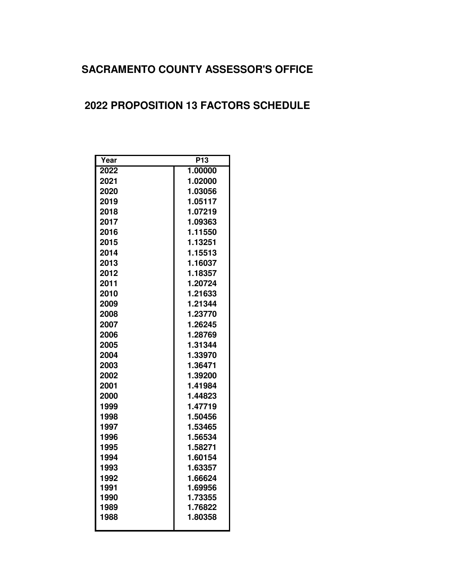# **2022 PROPOSITION 13 FACTORS SCHEDULE**

| Year | P13     |  |
|------|---------|--|
| 2022 | 1.00000 |  |
| 2021 | 1.02000 |  |
| 2020 | 1.03056 |  |
| 2019 | 1.05117 |  |
| 2018 | 1.07219 |  |
| 2017 | 1.09363 |  |
| 2016 | 1.11550 |  |
| 2015 | 1.13251 |  |
| 2014 | 1.15513 |  |
| 2013 | 1.16037 |  |
| 2012 | 1.18357 |  |
| 2011 | 1.20724 |  |
| 2010 | 1.21633 |  |
| 2009 | 1.21344 |  |
| 2008 | 1.23770 |  |
| 2007 | 1.26245 |  |
| 2006 | 1.28769 |  |
| 2005 | 1.31344 |  |
| 2004 | 1.33970 |  |
| 2003 | 1.36471 |  |
| 2002 | 1.39200 |  |
| 2001 | 1.41984 |  |
| 2000 | 1.44823 |  |
| 1999 | 1.47719 |  |
| 1998 | 1.50456 |  |
| 1997 | 1.53465 |  |
| 1996 | 1.56534 |  |
| 1995 | 1.58271 |  |
| 1994 | 1.60154 |  |
| 1993 | 1.63357 |  |
| 1992 | 1.66624 |  |
| 1991 | 1.69956 |  |
| 1990 | 1.73355 |  |
| 1989 | 1.76822 |  |
| 1988 | 1.80358 |  |
|      |         |  |